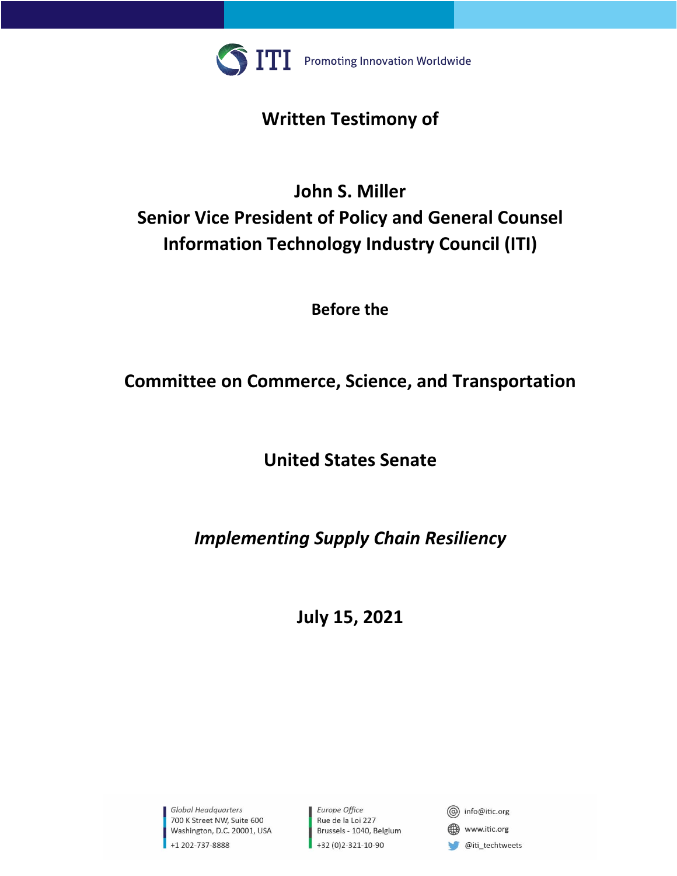

## **Written Testimony of**

# **John S. Miller Senior Vice President of Policy and General Counsel Information Technology Industry Council (ITI)**

**Before the**

## **Committee on Commerce, Science, and Transportation**

**United States Senate**

## *Implementing Supply Chain Resiliency*

**July 15, 2021**

Global Headquarters 700 K Street NW, Suite 600 Washington, D.C. 20001, USA +1 202-737-8888

Europe Office Rue de la Loi 227 Brussels - 1040, Belgium +32 (0)2-321-10-90

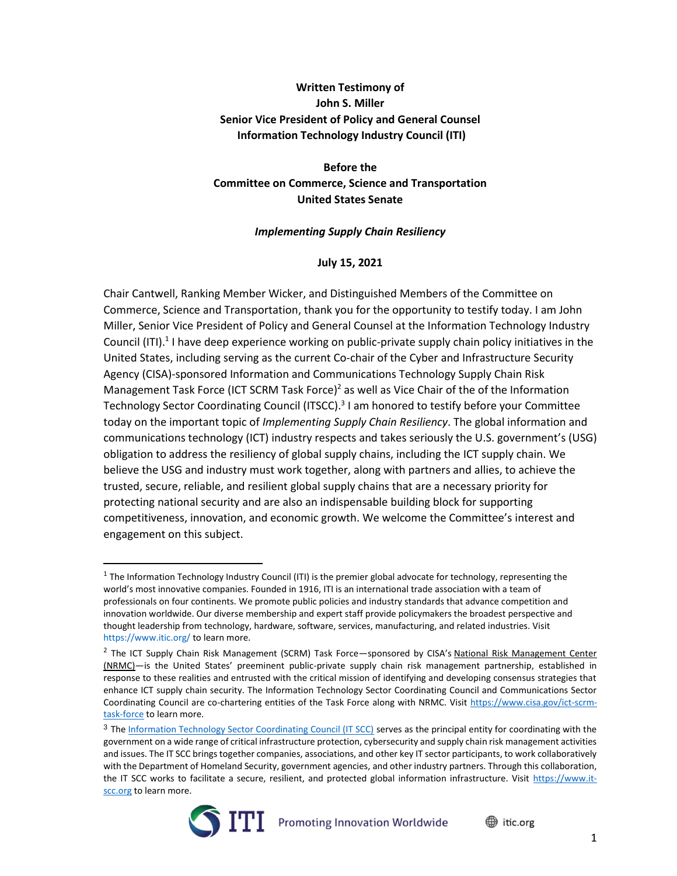#### **Written Testimony of John S. Miller Senior Vice President of Policy and General Counsel Information Technology Industry Council (ITI)**

#### **Before the Committee on Commerce, Science and Transportation United States Senate**

#### *Implementing Supply Chain Resiliency*

#### **July 15, 2021**

Chair Cantwell, Ranking Member Wicker, and Distinguished Members of the Committee on Commerce, Science and Transportation, thank you for the opportunity to testify today. I am John Miller, Senior Vice President of Policy and General Counsel at the Information Technology Industry Council (ITI).<sup>1</sup> I have deep experience working on public-private supply chain policy initiatives in the United States, including serving as the current Co-chair of the Cyber and Infrastructure Security Agency (CISA)-sponsored Information and Communications Technology Supply Chain Risk Management Task Force (ICT SCRM Task Force)<sup>2</sup> as well as Vice Chair of the of the Information Technology Sector Coordinating Council (ITSCC).<sup>3</sup> I am honored to testify before your Committee today on the important topic of *Implementing Supply Chain Resiliency*. The global information and communications technology (ICT) industry respects and takes seriously the U.S. government's (USG) obligation to address the resiliency of global supply chains, including the ICT supply chain. We believe the USG and industry must work together, along with partners and allies, to achieve the trusted, secure, reliable, and resilient global supply chains that are a necessary priority for protecting national security and are also an indispensable building block for supporting competitiveness, innovation, and economic growth. We welcome the Committee's interest and engagement on this subject.

<sup>&</sup>lt;sup>3</sup> The [Information Technology Sector Coordinating Council \(IT SCC\)](https://www.it-scc.org/) serves as the principal entity for coordinating with the government on a wide range of critical infrastructure protection, cybersecurity and supply chain risk management activities and issues. The IT SCC brings together companies, associations, and other key IT sector participants, to work collaboratively with the Department of Homeland Security, government agencies, and other industry partners. Through this collaboration, the IT SCC works to facilitate a secure, resilient, and protected global information infrastructure. Visit [https://www.it](https://www.it-scc.org/)[scc.org](https://www.it-scc.org/) to learn more.



tic.org

 $1$  The Information Technology Industry Council (ITI) is the premier global advocate for technology, representing the world's most innovative companies. Founded in 1916, ITI is an international trade association with a team of professionals on four continents. We promote public policies and industry standards that advance competition and innovation worldwide. Our diverse membership and expert staff provide policymakers the broadest perspective and thought leadership from technology, hardware, software, services, manufacturing, and related industries. Visit https://www.itic.org/ to learn more.

<sup>&</sup>lt;sup>2</sup> The ICT Supply Chain Risk Management (SCRM) Task Force—sponsored by CISA's National Risk Management Center [\(NRMC\)](https://www.cisa.gov/nrmc)—is the United States' preeminent public-private supply chain risk management partnership, established in response to these realities and entrusted with the critical mission of identifying and developing consensus strategies that enhance ICT supply chain security. The Information Technology Sector Coordinating Council and Communications Sector Coordinating Council are co-chartering entities of the Task Force along with NRMC. Visit [https://www.cisa.gov/ict-scrm](https://www.cisa.gov/ict-scrm-task-force)[task-force](https://www.cisa.gov/ict-scrm-task-force) to learn more.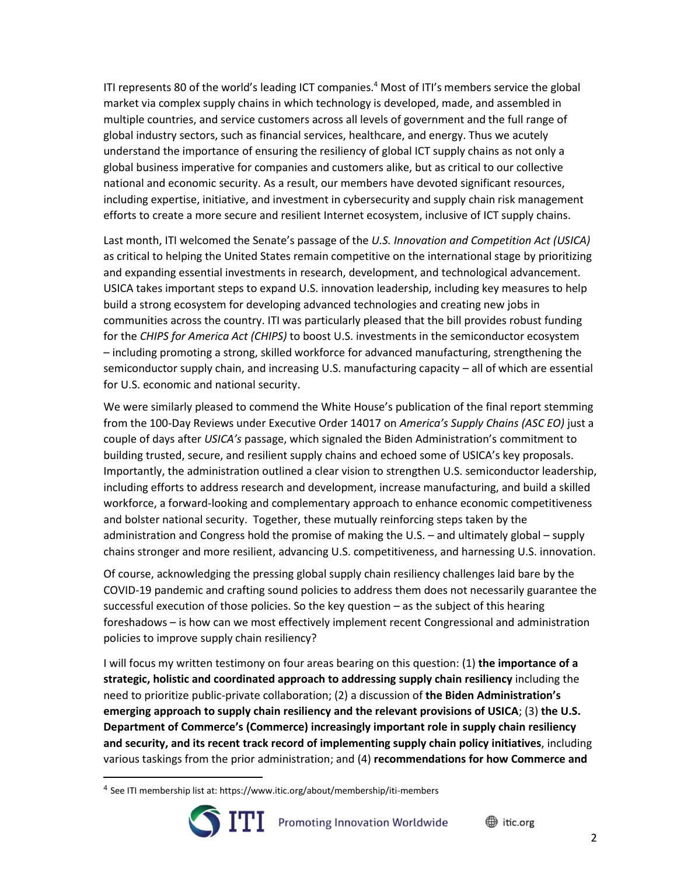ITI represents 80 of the world's leading ICT companies.<sup>4</sup> Most of ITI's members service the global market via complex supply chains in which technology is developed, made, and assembled in multiple countries, and service customers across all levels of government and the full range of global industry sectors, such as financial services, healthcare, and energy. Thus we acutely understand the importance of ensuring the resiliency of global ICT supply chains as not only a global business imperative for companies and customers alike, but as critical to our collective national and economic security. As a result, our members have devoted significant resources, including expertise, initiative, and investment in cybersecurity and supply chain risk management efforts to create a more secure and resilient Internet ecosystem, inclusive of ICT supply chains.

Last month, ITI welcomed the Senate's passage of the *U.S. Innovation and Competition Act (USICA)* as critical to helping the United States remain competitive on the international stage by prioritizing and expanding essential investments in research, development, and technological advancement. USICA takes important steps to expand U.S. innovation leadership, including key measures to help build a strong ecosystem for developing advanced technologies and creating new jobs in communities across the country. ITI was particularly pleased that the bill provides robust funding for the *CHIPS for America Act (CHIPS)* to boost U.S. investments in the semiconductor ecosystem – including promoting a strong, skilled workforce for advanced manufacturing, strengthening the semiconductor supply chain, and increasing U.S. manufacturing capacity – all of which are essential for U.S. economic and national security.

We were similarly pleased to commend the White House's publication of the final report stemming from the 100-Day Reviews under Executive Order 14017 on *America's Supply Chains (ASC EO)* just a couple of days after *USICA's* passage, which signaled the Biden Administration's commitment to building trusted, secure, and resilient supply chains and echoed some of USICA's key proposals. Importantly, the administration outlined a clear vision to strengthen U.S. semiconductor leadership, including efforts to address research and development, increase manufacturing, and build a skilled workforce, a forward-looking and complementary approach to enhance economic competitiveness and bolster national security. Together, these mutually reinforcing steps taken by the administration and Congress hold the promise of making the U.S. – and ultimately global – supply chains stronger and more resilient, advancing U.S. competitiveness, and harnessing U.S. innovation.

Of course, acknowledging the pressing global supply chain resiliency challenges laid bare by the COVID-19 pandemic and crafting sound policies to address them does not necessarily guarantee the successful execution of those policies. So the key question – as the subject of this hearing foreshadows – is how can we most effectively implement recent Congressional and administration policies to improve supply chain resiliency?

I will focus my written testimony on four areas bearing on this question: (1) **the importance of a strategic, holistic and coordinated approach to addressing supply chain resiliency** including the need to prioritize public-private collaboration; (2) a discussion of **the Biden Administration's emerging approach to supply chain resiliency and the relevant provisions of USICA**; (3) **the U.S. Department of Commerce's (Commerce) increasingly important role in supply chain resiliency and security, and its recent track record of implementing supply chain policy initiatives**, including various taskings from the prior administration; and (4) **recommendations for how Commerce and** 

<sup>4</sup> See ITI membership list at: https://www.itic.org/about/membership/iti-members

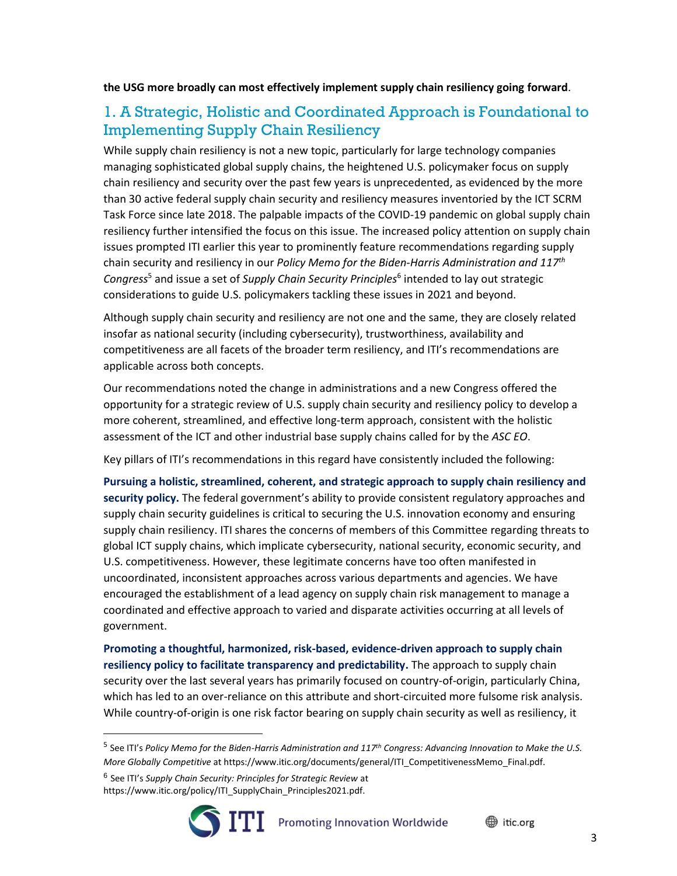**the USG more broadly can most effectively implement supply chain resiliency going forward**.

## 1. A Strategic, Holistic and Coordinated Approach is Foundational to Implementing Supply Chain Resiliency

While supply chain resiliency is not a new topic, particularly for large technology companies managing sophisticated global supply chains, the heightened U.S. policymaker focus on supply chain resiliency and security over the past few years is unprecedented, as evidenced by the more than 30 active federal supply chain security and resiliency measures inventoried by the ICT SCRM Task Force since late 2018. The palpable impacts of the COVID-19 pandemic on global supply chain resiliency further intensified the focus on this issue. The increased policy attention on supply chain issues prompted ITI earlier this year to prominently feature recommendations regarding supply chain security and resiliency in our *Policy Memo for the Biden-Harris Administration and 117th Congress*<sup>5</sup> and issue a set of *Supply Chain Security Principles*<sup>6</sup> intended to lay out strategic considerations to guide U.S. policymakers tackling these issues in 2021 and beyond.

Although supply chain security and resiliency are not one and the same, they are closely related insofar as national security (including cybersecurity), trustworthiness, availability and competitiveness are all facets of the broader term resiliency, and ITI's recommendations are applicable across both concepts.

Our recommendations noted the change in administrations and a new Congress offered the opportunity for a strategic review of U.S. supply chain security and resiliency policy to develop a more coherent, streamlined, and effective long-term approach, consistent with the holistic assessment of the ICT and other industrial base supply chains called for by the *ASC EO*.

Key pillars of ITI's recommendations in this regard have consistently included the following:

**Pursuing a holistic, streamlined, coherent, and strategic approach to supply chain resiliency and security policy.** The federal government's ability to provide consistent regulatory approaches and supply chain security guidelines is critical to securing the U.S. innovation economy and ensuring supply chain resiliency. ITI shares the concerns of members of this Committee regarding threats to global ICT supply chains, which implicate cybersecurity, national security, economic security, and U.S. competitiveness. However, these legitimate concerns have too often manifested in uncoordinated, inconsistent approaches across various departments and agencies. We have encouraged the establishment of a lead agency on supply chain risk management to manage a coordinated and effective approach to varied and disparate activities occurring at all levels of government.

**Promoting a thoughtful, harmonized, risk-based, evidence-driven approach to supply chain resiliency policy to facilitate transparency and predictability.** The approach to supply chain security over the last several years has primarily focused on country-of-origin, particularly China, which has led to an over-reliance on this attribute and short-circuited more fulsome risk analysis. While country-of-origin is one risk factor bearing on supply chain security as well as resiliency, it

5 See ITI's *Policy Memo for the Biden-Harris Administration and 117th Congress: Advancing Innovation to Make the U.S. More Globally Competitive* at https://www.itic.org/documents/general/ITI\_CompetitivenessMemo\_Final.pdf.

<sup>6</sup> See ITI's *Supply Chain Security: Principles for Strategic Review* at

https://www.itic.org/policy/ITI\_SupplyChain\_Principles2021.pdf.

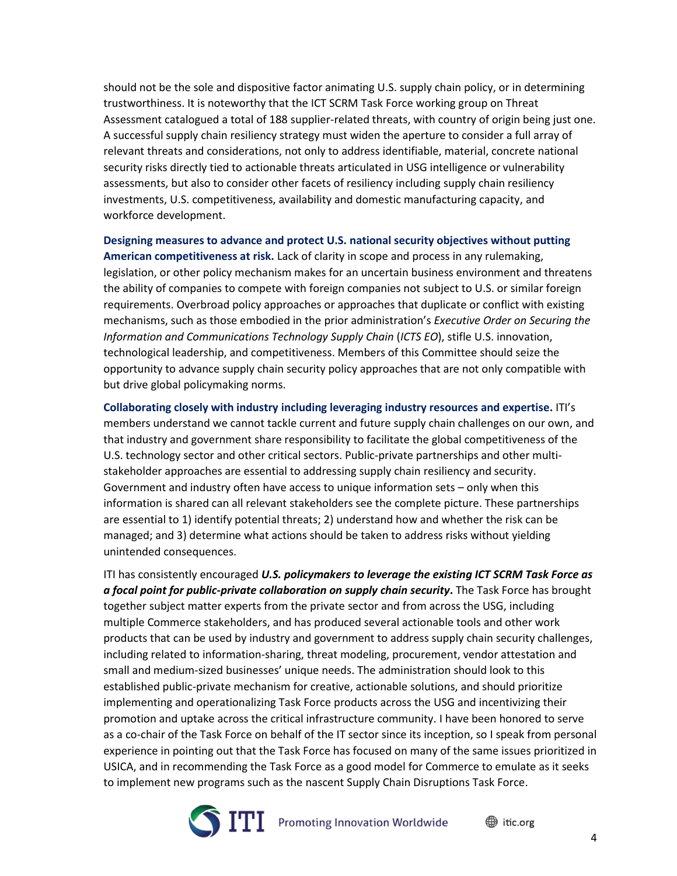should not be the sole and dispositive factor animating U.S. supply chain policy, or in determining trustworthiness. It is noteworthy that the ICT SCRM Task Force working group on Threat Assessment catalogued a total of 188 supplier-related threats, with country of origin being just one. A successful supply chain resiliency strategy must widen the aperture to consider a full array of relevant threats and considerations, not only to address identifiable, material, concrete national security risks directly tied to actionable threats articulated in USG intelligence or vulnerability assessments, but also to consider other facets of resiliency including supply chain resiliency investments, U.S. competitiveness, availability and domestic manufacturing capacity, and workforce development.

**Designing measures to advance and protect U.S. national security objectives without putting American competitiveness at risk.** Lack of clarity in scope and process in any rulemaking, legislation, or other policy mechanism makes for an uncertain business environment and threatens the ability of companies to compete with foreign companies not subject to U.S. or similar foreign requirements. Overbroad policy approaches or approaches that duplicate or conflict with existing mechanisms, such as those embodied in the prior administration's *Executive Order on Securing the Information and Communications Technology Supply Chain* (*ICTS EO*), stifle U.S. innovation, technological leadership, and competitiveness. Members of this Committee should seize the opportunity to advance supply chain security policy approaches that are not only compatible with but drive global policymaking norms.

**Collaborating closely with industry including leveraging industry resources and expertise.** ITI's members understand we cannot tackle current and future supply chain challenges on our own, and that industry and government share responsibility to facilitate the global competitiveness of the U.S. technology sector and other critical sectors. Public-private partnerships and other multistakeholder approaches are essential to addressing supply chain resiliency and security. Government and industry often have access to unique information sets – only when this information is shared can all relevant stakeholders see the complete picture. These partnerships are essential to 1) identify potential threats; 2) understand how and whether the risk can be managed; and 3) determine what actions should be taken to address risks without yielding unintended consequences.

ITI has consistently encouraged *U.S. policymakers to leverage the existing ICT SCRM Task Force as a focal point for public-private collaboration on supply chain security***.** The Task Force has brought together subject matter experts from the private sector and from across the USG, including multiple Commerce stakeholders, and has produced several actionable tools and other work products that can be used by industry and government to address supply chain security challenges, including related to information-sharing, threat modeling, procurement, vendor attestation and small and medium-sized businesses' unique needs. The administration should look to this established public-private mechanism for creative, actionable solutions, and should prioritize implementing and operationalizing Task Force products across the USG and incentivizing their promotion and uptake across the critical infrastructure community. I have been honored to serve as a co-chair of the Task Force on behalf of the IT sector since its inception, so I speak from personal experience in pointing out that the Task Force has focused on many of the same issues prioritized in USICA, and in recommending the Task Force as a good model for Commerce to emulate as it seeks to implement new programs such as the nascent Supply Chain Disruptions Task Force.

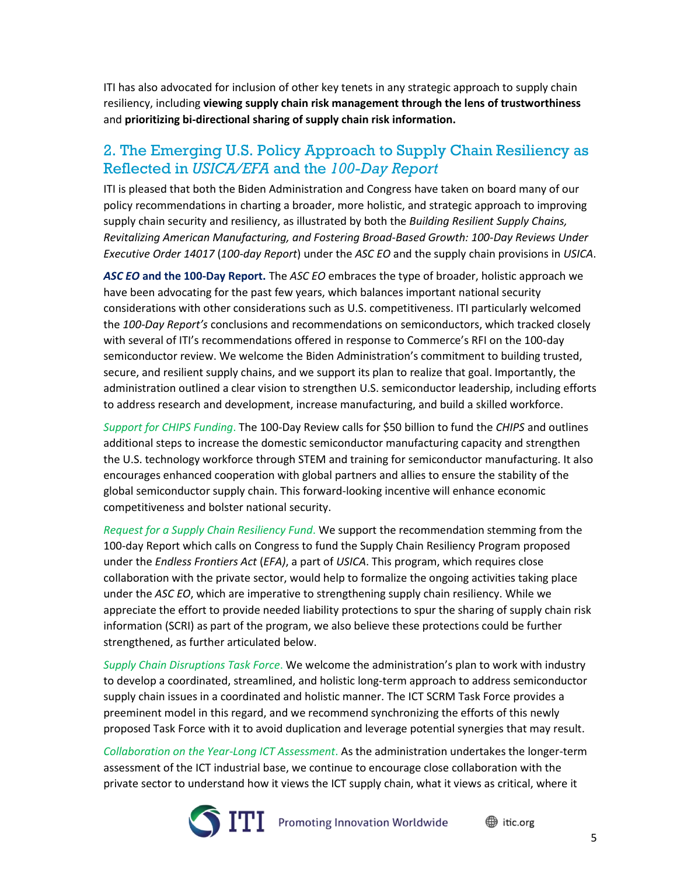ITI has also advocated for inclusion of other key tenets in any strategic approach to supply chain resiliency, including **viewing supply chain risk management through the lens of trustworthiness**  and **prioritizing bi-directional sharing of supply chain risk information.**

### 2. The Emerging U.S. Policy Approach to Supply Chain Resiliency as Reflected in *USICA/EFA* and the *100-Day Report*

ITI is pleased that both the Biden Administration and Congress have taken on board many of our policy recommendations in charting a broader, more holistic, and strategic approach to improving supply chain security and resiliency, as illustrated by both the *Building Resilient Supply Chains, Revitalizing American Manufacturing, and Fostering Broad-Based Growth: 100-Day Reviews Under Executive Order 14017* (*100-day Report*) under the *ASC EO* and the supply chain provisions in *USICA*.

*ASC EO* **and the 100-Day Report.** The *ASC EO* embraces the type of broader, holistic approach we have been advocating for the past few years, which balances important national security considerations with other considerations such as U.S. competitiveness. ITI particularly welcomed the *100-Day Report's* conclusions and recommendations on semiconductors, which tracked closely with several of ITI's recommendations offered in response to Commerce's RFI on the 100-day semiconductor review. We welcome the Biden Administration's commitment to building trusted, secure, and resilient supply chains, and we support its plan to realize that goal. Importantly, the administration outlined a clear vision to strengthen U.S. semiconductor leadership, including efforts to address research and development, increase manufacturing, and build a skilled workforce.

*Support for CHIPS Funding*. The 100-Day Review calls for \$50 billion to fund the *CHIPS* and outlines additional steps to increase the domestic semiconductor manufacturing capacity and strengthen the U.S. technology workforce through STEM and training for semiconductor manufacturing. It also encourages enhanced cooperation with global partners and allies to ensure the stability of the global semiconductor supply chain. This forward-looking incentive will enhance economic competitiveness and bolster national security.

*Request for a Supply Chain Resiliency Fund*. We support the recommendation stemming from the 100-day Report which calls on Congress to fund the Supply Chain Resiliency Program proposed under the *Endless Frontiers Act* (*EFA)*, a part of *USICA*. This program, which requires close collaboration with the private sector, would help to formalize the ongoing activities taking place under the *ASC EO*, which are imperative to strengthening supply chain resiliency. While we appreciate the effort to provide needed liability protections to spur the sharing of supply chain risk information (SCRI) as part of the program, we also believe these protections could be further strengthened, as further articulated below.

*Supply Chain Disruptions Task Force*. We welcome the administration's plan to work with industry to develop a coordinated, streamlined, and holistic long-term approach to address semiconductor supply chain issues in a coordinated and holistic manner. The ICT SCRM Task Force provides a preeminent model in this regard, and we recommend synchronizing the efforts of this newly proposed Task Force with it to avoid duplication and leverage potential synergies that may result.

*Collaboration on the Year-Long ICT Assessment*. As the administration undertakes the longer-term assessment of the ICT industrial base, we continue to encourage close collaboration with the private sector to understand how it views the ICT supply chain, what it views as critical, where it

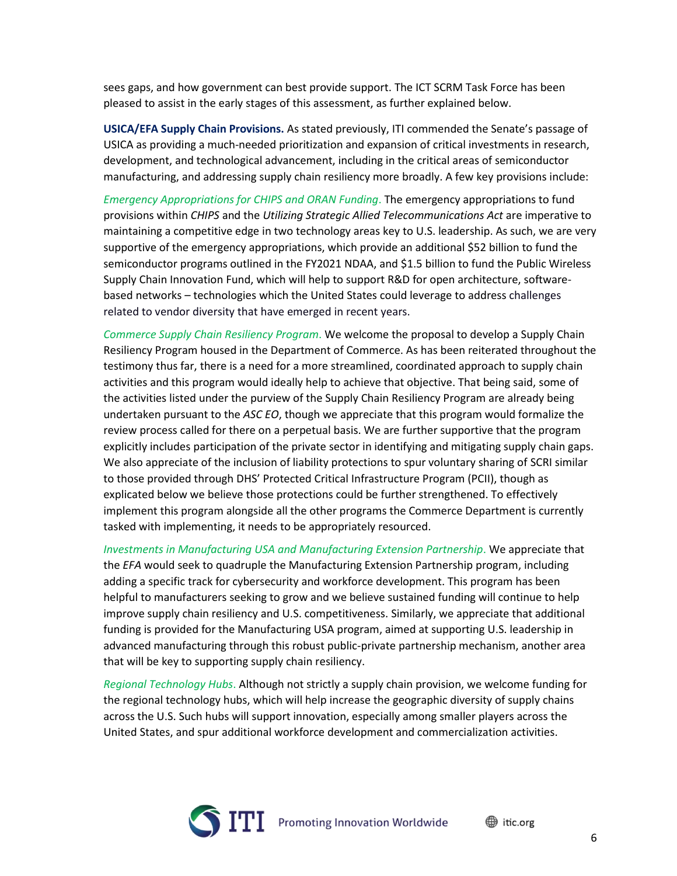sees gaps, and how government can best provide support. The ICT SCRM Task Force has been pleased to assist in the early stages of this assessment, as further explained below.

**USICA/EFA Supply Chain Provisions.** As stated previously, ITI commended the Senate's passage of USICA as providing a much-needed prioritization and expansion of critical investments in research, development, and technological advancement, including in the critical areas of semiconductor manufacturing, and addressing supply chain resiliency more broadly. A few key provisions include:

*Emergency Appropriations for CHIPS and ORAN Funding*. The emergency appropriations to fund provisions within *CHIPS* and the *Utilizing Strategic Allied Telecommunications Act* are imperative to maintaining a competitive edge in two technology areas key to U.S. leadership. As such, we are very supportive of the emergency appropriations, which provide an additional \$52 billion to fund the semiconductor programs outlined in the FY2021 NDAA, and \$1.5 billion to fund the Public Wireless Supply Chain Innovation Fund, which will help to support R&D for open architecture, softwarebased networks – technologies which the United States could leverage to address challenges related to vendor diversity that have emerged in recent years.

*Commerce Supply Chain Resiliency Program*. We welcome the proposal to develop a Supply Chain Resiliency Program housed in the Department of Commerce. As has been reiterated throughout the testimony thus far, there is a need for a more streamlined, coordinated approach to supply chain activities and this program would ideally help to achieve that objective. That being said, some of the activities listed under the purview of the Supply Chain Resiliency Program are already being undertaken pursuant to the *ASC EO*, though we appreciate that this program would formalize the review process called for there on a perpetual basis. We are further supportive that the program explicitly includes participation of the private sector in identifying and mitigating supply chain gaps. We also appreciate of the inclusion of liability protections to spur voluntary sharing of SCRI similar to those provided through DHS' Protected Critical Infrastructure Program (PCII), though as explicated below we believe those protections could be further strengthened. To effectively implement this program alongside all the other programs the Commerce Department is currently tasked with implementing, it needs to be appropriately resourced.

*Investments in Manufacturing USA and Manufacturing Extension Partnership*. We appreciate that the *EFA* would seek to quadruple the Manufacturing Extension Partnership program, including adding a specific track for cybersecurity and workforce development. This program has been helpful to manufacturers seeking to grow and we believe sustained funding will continue to help improve supply chain resiliency and U.S. competitiveness. Similarly, we appreciate that additional funding is provided for the Manufacturing USA program, aimed at supporting U.S. leadership in advanced manufacturing through this robust public-private partnership mechanism, another area that will be key to supporting supply chain resiliency.

*Regional Technology Hubs*. Although not strictly a supply chain provision, we welcome funding for the regional technology hubs, which will help increase the geographic diversity of supply chains across the U.S. Such hubs will support innovation, especially among smaller players across the United States, and spur additional workforce development and commercialization activities.

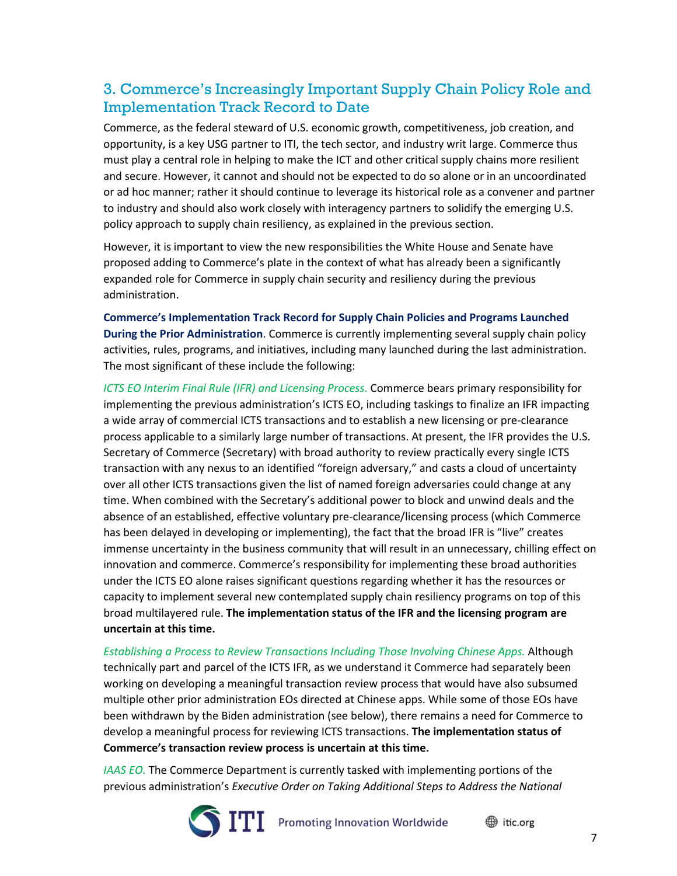## 3. Commerce's Increasingly Important Supply Chain Policy Role and Implementation Track Record to Date

Commerce, as the federal steward of U.S. economic growth, competitiveness, job creation, and opportunity, is a key USG partner to ITI, the tech sector, and industry writ large. Commerce thus must play a central role in helping to make the ICT and other critical supply chains more resilient and secure. However, it cannot and should not be expected to do so alone or in an uncoordinated or ad hoc manner; rather it should continue to leverage its historical role as a convener and partner to industry and should also work closely with interagency partners to solidify the emerging U.S. policy approach to supply chain resiliency, as explained in the previous section.

However, it is important to view the new responsibilities the White House and Senate have proposed adding to Commerce's plate in the context of what has already been a significantly expanded role for Commerce in supply chain security and resiliency during the previous administration.

**Commerce's Implementation Track Record for Supply Chain Policies and Programs Launched During the Prior Administration**. Commerce is currently implementing several supply chain policy activities, rules, programs, and initiatives, including many launched during the last administration. The most significant of these include the following:

*ICTS EO Interim Final Rule (IFR) and Licensing Process.* Commerce bears primary responsibility for implementing the previous administration's ICTS EO, including taskings to finalize an IFR impacting a wide array of commercial ICTS transactions and to establish a new licensing or pre-clearance process applicable to a similarly large number of transactions. At present, the IFR provides the U.S. Secretary of Commerce (Secretary) with broad authority to review practically every single ICTS transaction with any nexus to an identified "foreign adversary," and casts a cloud of uncertainty over all other ICTS transactions given the list of named foreign adversaries could change at any time. When combined with the Secretary's additional power to block and unwind deals and the absence of an established, effective voluntary pre-clearance/licensing process (which Commerce has been delayed in developing or implementing), the fact that the broad IFR is "live" creates immense uncertainty in the business community that will result in an unnecessary, chilling effect on innovation and commerce. Commerce's responsibility for implementing these broad authorities under the ICTS EO alone raises significant questions regarding whether it has the resources or capacity to implement several new contemplated supply chain resiliency programs on top of this broad multilayered rule. **The implementation status of the IFR and the licensing program are uncertain at this time.**

*Establishing a Process to Review Transactions Including Those Involving Chinese Apps.* Although technically part and parcel of the ICTS IFR, as we understand it Commerce had separately been working on developing a meaningful transaction review process that would have also subsumed multiple other prior administration EOs directed at Chinese apps. While some of those EOs have been withdrawn by the Biden administration (see below), there remains a need for Commerce to develop a meaningful process for reviewing ICTS transactions. **The implementation status of Commerce's transaction review process is uncertain at this time.**

*IAAS EO.* The Commerce Department is currently tasked with implementing portions of the previous administration's *Executive Order on Taking Additional Steps to Address the National* 

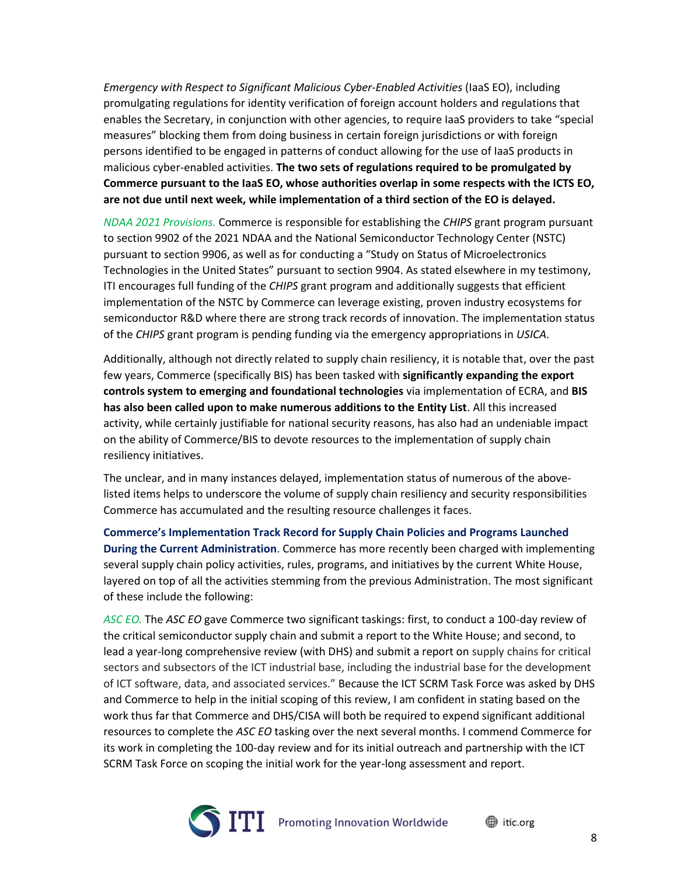*Emergency with Respect to Significant Malicious Cyber-Enabled Activities* (IaaS EO), including promulgating regulations for identity verification of foreign account holders and regulations that enables the Secretary, in conjunction with other agencies, to require IaaS providers to take "special measures" blocking them from doing business in certain foreign jurisdictions or with foreign persons identified to be engaged in patterns of conduct allowing for the use of IaaS products in malicious cyber-enabled activities. **The two sets of regulations required to be promulgated by Commerce pursuant to the IaaS EO, whose authorities overlap in some respects with the ICTS EO, are not due until next week, while implementation of a third section of the EO is delayed.**

*NDAA 2021 Provisions.* Commerce is responsible for establishing the *CHIPS* grant program pursuant to section 9902 of the 2021 NDAA and the National Semiconductor Technology Center (NSTC) pursuant to section 9906, as well as for conducting a "Study on Status of Microelectronics Technologies in the United States" pursuant to section 9904. As stated elsewhere in my testimony, ITI encourages full funding of the *CHIPS* grant program and additionally suggests that efficient implementation of the NSTC by Commerce can leverage existing, proven industry ecosystems for semiconductor R&D where there are strong track records of innovation. The implementation status of the *CHIPS* grant program is pending funding via the emergency appropriations in *USICA*.

Additionally, although not directly related to supply chain resiliency, it is notable that, over the past few years, Commerce (specifically BIS) has been tasked with **significantly expanding the export controls system to emerging and foundational technologies** via implementation of ECRA, and **BIS has also been called upon to make numerous additions to the Entity List**. All this increased activity, while certainly justifiable for national security reasons, has also had an undeniable impact on the ability of Commerce/BIS to devote resources to the implementation of supply chain resiliency initiatives.

The unclear, and in many instances delayed, implementation status of numerous of the abovelisted items helps to underscore the volume of supply chain resiliency and security responsibilities Commerce has accumulated and the resulting resource challenges it faces.

**Commerce's Implementation Track Record for Supply Chain Policies and Programs Launched During the Current Administration**. Commerce has more recently been charged with implementing several supply chain policy activities, rules, programs, and initiatives by the current White House, layered on top of all the activities stemming from the previous Administration. The most significant of these include the following:

*ASC EO.* The *ASC EO* gave Commerce two significant taskings: first, to conduct a 100-day review of the critical semiconductor supply chain and submit a report to the White House; and second, to lead a year-long comprehensive review (with DHS) and submit a report on supply chains for critical sectors and subsectors of the ICT industrial base, including the industrial base for the development of ICT software, data, and associated services." Because the ICT SCRM Task Force was asked by DHS and Commerce to help in the initial scoping of this review, I am confident in stating based on the work thus far that Commerce and DHS/CISA will both be required to expend significant additional resources to complete the *ASC EO* tasking over the next several months. I commend Commerce for its work in completing the 100-day review and for its initial outreach and partnership with the ICT SCRM Task Force on scoping the initial work for the year-long assessment and report.

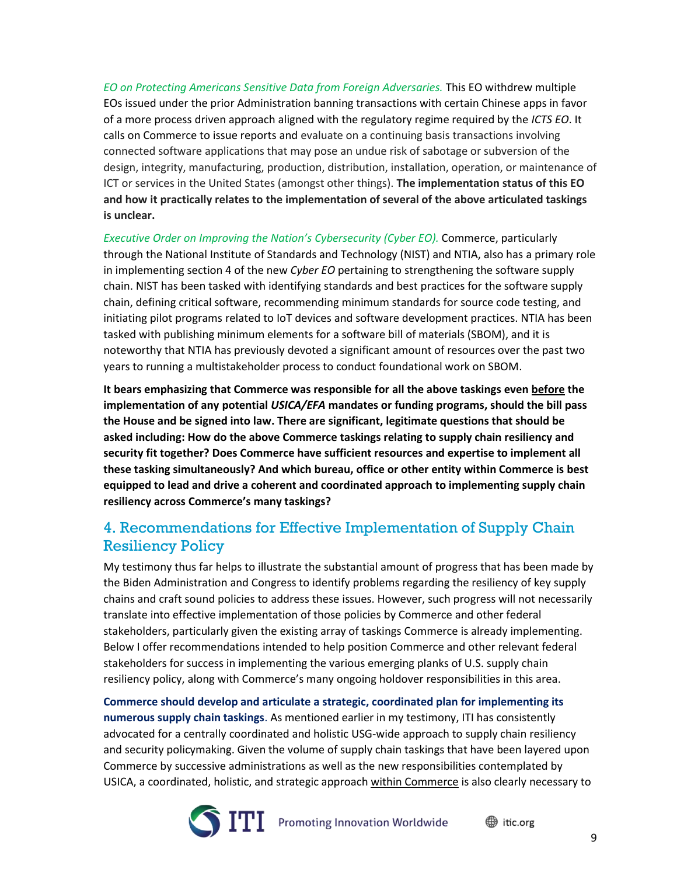*EO on Protecting Americans Sensitive Data from Foreign Adversaries.* This EO withdrew multiple EOs issued under the prior Administration banning transactions with certain Chinese apps in favor of a more process driven approach aligned with the regulatory regime required by the *ICTS EO*. It calls on Commerce to issue reports and evaluate on a continuing basis transactions involving connected software applications that may pose an undue risk of sabotage or subversion of the design, integrity, manufacturing, production, distribution, installation, operation, or maintenance of ICT or services in the United States (amongst other things). **The implementation status of this EO and how it practically relates to the implementation of several of the above articulated taskings is unclear.**

*Executive Order on Improving the Nation's Cybersecurity (Cyber EO).* Commerce, particularly through the National Institute of Standards and Technology (NIST) and NTIA, also has a primary role in implementing section 4 of the new *Cyber EO* pertaining to strengthening the software supply chain. NIST has been tasked with identifying standards and best practices for the software supply chain, defining critical software, recommending minimum standards for source code testing, and initiating pilot programs related to IoT devices and software development practices. NTIA has been tasked with publishing minimum elements for a software bill of materials (SBOM), and it is noteworthy that NTIA has previously devoted a significant amount of resources over the past two years to running a multistakeholder process to conduct foundational work on SBOM.

**It bears emphasizing that Commerce was responsible for all the above taskings even before the implementation of any potential** *USICA/EFA* **mandates or funding programs, should the bill pass the House and be signed into law. There are significant, legitimate questions that should be asked including: How do the above Commerce taskings relating to supply chain resiliency and security fit together? Does Commerce have sufficient resources and expertise to implement all these tasking simultaneously? And which bureau, office or other entity within Commerce is best equipped to lead and drive a coherent and coordinated approach to implementing supply chain resiliency across Commerce's many taskings?**

### 4. Recommendations for Effective Implementation of Supply Chain Resiliency Policy

My testimony thus far helps to illustrate the substantial amount of progress that has been made by the Biden Administration and Congress to identify problems regarding the resiliency of key supply chains and craft sound policies to address these issues. However, such progress will not necessarily translate into effective implementation of those policies by Commerce and other federal stakeholders, particularly given the existing array of taskings Commerce is already implementing. Below I offer recommendations intended to help position Commerce and other relevant federal stakeholders for success in implementing the various emerging planks of U.S. supply chain resiliency policy, along with Commerce's many ongoing holdover responsibilities in this area.

**Commerce should develop and articulate a strategic, coordinated plan for implementing its numerous supply chain taskings**. As mentioned earlier in my testimony, ITI has consistently advocated for a centrally coordinated and holistic USG-wide approach to supply chain resiliency and security policymaking. Given the volume of supply chain taskings that have been layered upon Commerce by successive administrations as well as the new responsibilities contemplated by USICA, a coordinated, holistic, and strategic approach within Commerce is also clearly necessary to

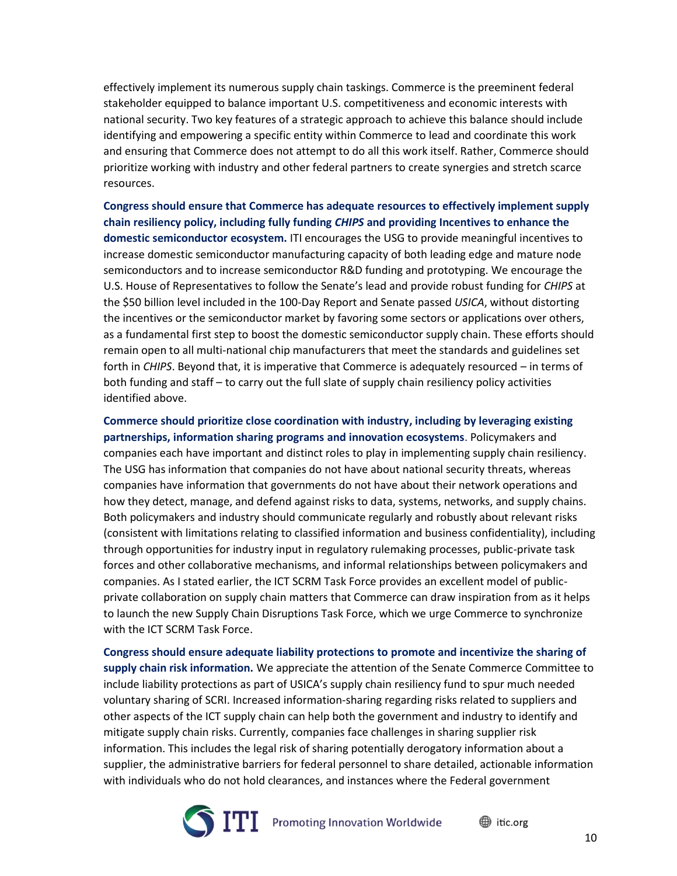effectively implement its numerous supply chain taskings. Commerce is the preeminent federal stakeholder equipped to balance important U.S. competitiveness and economic interests with national security. Two key features of a strategic approach to achieve this balance should include identifying and empowering a specific entity within Commerce to lead and coordinate this work and ensuring that Commerce does not attempt to do all this work itself. Rather, Commerce should prioritize working with industry and other federal partners to create synergies and stretch scarce resources.

**Congress should ensure that Commerce has adequate resources to effectively implement supply chain resiliency policy, including fully funding** *CHIPS* **and providing Incentives to enhance the domestic semiconductor ecosystem.** ITI encourages the USG to provide meaningful incentives to increase domestic semiconductor manufacturing capacity of both leading edge and mature node semiconductors and to increase semiconductor R&D funding and prototyping. We encourage the U.S. House of Representatives to follow the Senate's lead and provide robust funding for *CHIPS* at the \$50 billion level included in the 100-Day Report and Senate passed *USICA*, without distorting the incentives or the semiconductor market by favoring some sectors or applications over others, as a fundamental first step to boost the domestic semiconductor supply chain. These efforts should remain open to all multi-national chip manufacturers that meet the standards and guidelines set forth in *CHIPS*. Beyond that, it is imperative that Commerce is adequately resourced – in terms of both funding and staff – to carry out the full slate of supply chain resiliency policy activities identified above.

**Commerce should prioritize close coordination with industry, including by leveraging existing partnerships, information sharing programs and innovation ecosystems**. Policymakers and companies each have important and distinct roles to play in implementing supply chain resiliency. The USG has information that companies do not have about national security threats, whereas companies have information that governments do not have about their network operations and how they detect, manage, and defend against risks to data, systems, networks, and supply chains. Both policymakers and industry should communicate regularly and robustly about relevant risks (consistent with limitations relating to classified information and business confidentiality), including through opportunities for industry input in regulatory rulemaking processes, public-private task forces and other collaborative mechanisms, and informal relationships between policymakers and companies. As I stated earlier, the ICT SCRM Task Force provides an excellent model of publicprivate collaboration on supply chain matters that Commerce can draw inspiration from as it helps to launch the new Supply Chain Disruptions Task Force, which we urge Commerce to synchronize with the ICT SCRM Task Force.

**Congress should ensure adequate liability protections to promote and incentivize the sharing of supply chain risk information.** We appreciate the attention of the Senate Commerce Committee to include liability protections as part of USICA's supply chain resiliency fund to spur much needed voluntary sharing of SCRI. Increased information-sharing regarding risks related to suppliers and other aspects of the ICT supply chain can help both the government and industry to identify and mitigate supply chain risks. Currently, companies face challenges in sharing supplier risk information. This includes the legal risk of sharing potentially derogatory information about a supplier, the administrative barriers for federal personnel to share detailed, actionable information with individuals who do not hold clearances, and instances where the Federal government

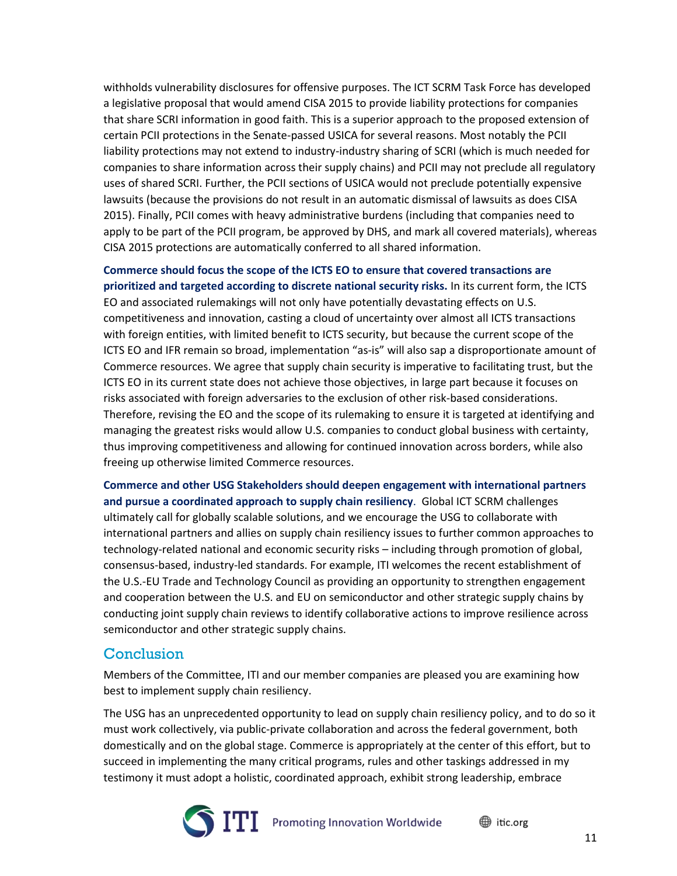withholds vulnerability disclosures for offensive purposes. The ICT SCRM Task Force has developed a legislative proposal that would amend CISA 2015 to provide liability protections for companies that share SCRI information in good faith. This is a superior approach to the proposed extension of certain PCII protections in the Senate-passed USICA for several reasons. Most notably the PCII liability protections may not extend to industry-industry sharing of SCRI (which is much needed for companies to share information across their supply chains) and PCII may not preclude all regulatory uses of shared SCRI. Further, the PCII sections of USICA would not preclude potentially expensive lawsuits (because the provisions do not result in an automatic dismissal of lawsuits as does CISA 2015). Finally, PCII comes with heavy administrative burdens (including that companies need to apply to be part of the PCII program, be approved by DHS, and mark all covered materials), whereas CISA 2015 protections are automatically conferred to all shared information.

**Commerce should focus the scope of the ICTS EO to ensure that covered transactions are prioritized and targeted according to discrete national security risks.** In its current form, the ICTS EO and associated rulemakings will not only have potentially devastating effects on U.S. competitiveness and innovation, casting a cloud of uncertainty over almost all ICTS transactions with foreign entities, with limited benefit to ICTS security, but because the current scope of the ICTS EO and IFR remain so broad, implementation "as-is" will also sap a disproportionate amount of Commerce resources. We agree that supply chain security is imperative to facilitating trust, but the ICTS EO in its current state does not achieve those objectives, in large part because it focuses on risks associated with foreign adversaries to the exclusion of other risk-based considerations. Therefore, revising the EO and the scope of its rulemaking to ensure it is targeted at identifying and managing the greatest risks would allow U.S. companies to conduct global business with certainty, thus improving competitiveness and allowing for continued innovation across borders, while also freeing up otherwise limited Commerce resources.

**Commerce and other USG Stakeholders should deepen engagement with international partners and pursue a coordinated approach to supply chain resiliency**. Global ICT SCRM challenges ultimately call for globally scalable solutions, and we encourage the USG to collaborate with international partners and allies on supply chain resiliency issues to further common approaches to technology-related national and economic security risks – including through promotion of global, consensus-based, industry-led standards. For example, ITI welcomes the recent establishment of the U.S.-EU Trade and Technology Council as providing an opportunity to strengthen engagement and cooperation between the U.S. and EU on semiconductor and other strategic supply chains by conducting joint supply chain reviews to identify collaborative actions to improve resilience across semiconductor and other strategic supply chains.

### Conclusion

Members of the Committee, ITI and our member companies are pleased you are examining how best to implement supply chain resiliency.

The USG has an unprecedented opportunity to lead on supply chain resiliency policy, and to do so it must work collectively, via public-private collaboration and across the federal government, both domestically and on the global stage. Commerce is appropriately at the center of this effort, but to succeed in implementing the many critical programs, rules and other taskings addressed in my testimony it must adopt a holistic, coordinated approach, exhibit strong leadership, embrace